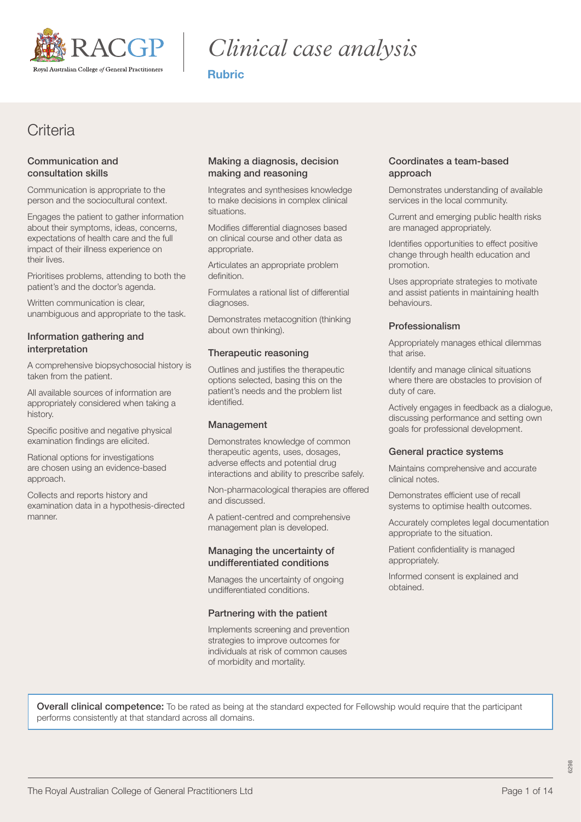

# *Clinical case analysis*

### Rubric

### **Criteria**

### Communication and consultation skills

Communication is appropriate to the person and the sociocultural context.

Engages the patient to gather information about their symptoms, ideas, concerns, expectations of health care and the full impact of their illness experience on their lives.

Prioritises problems, attending to both the patient's and the doctor's agenda.

Written communication is clear, unambiguous and appropriate to the task.

### Information gathering and interpretation

A comprehensive biopsychosocial history is taken from the patient.

All available sources of information are appropriately considered when taking a history.

Specific positive and negative physical examination findings are elicited.

Rational options for investigations are chosen using an evidence-based approach.

Collects and reports history and examination data in a hypothesis-directed manner.

### Making a diagnosis, decision making and reasoning

Integrates and synthesises knowledge to make decisions in complex clinical situations.

Modifies differential diagnoses based on clinical course and other data as appropriate.

Articulates an appropriate problem definition.

Formulates a rational list of differential diagnoses.

Demonstrates metacognition (thinking about own thinking).

### Therapeutic reasoning

Outlines and justifies the therapeutic options selected, basing this on the patient's needs and the problem list identified.

### Management

Demonstrates knowledge of common therapeutic agents, uses, dosages, adverse effects and potential drug interactions and ability to prescribe safely.

Non-pharmacological therapies are offered and discussed.

A patient-centred and comprehensive management plan is developed.

#### Managing the uncertainty of undifferentiated conditions

Manages the uncertainty of ongoing undifferentiated conditions.

### Partnering with the patient

Implements screening and prevention strategies to improve outcomes for individuals at risk of common causes of morbidity and mortality.

#### Coordinates a team-based approach

Demonstrates understanding of available services in the local community.

Current and emerging public health risks are managed appropriately.

Identifies opportunities to effect positive change through health education and promotion.

Uses appropriate strategies to motivate and assist patients in maintaining health behaviours.

#### Professionalism

Appropriately manages ethical dilemmas that arise.

Identify and manage clinical situations where there are obstacles to provision of duty of care.

Actively engages in feedback as a dialogue, discussing performance and setting own goals for professional development.

### General practice systems

Maintains comprehensive and accurate clinical notes.

Demonstrates efficient use of recall systems to optimise health outcomes.

Accurately completes legal documentation appropriate to the situation.

Patient confidentiality is managed appropriately.

Informed consent is explained and obtained.

Overall clinical competence: To be rated as being at the standard expected for Fellowship would require that the participant performs consistently at that standard across all domains.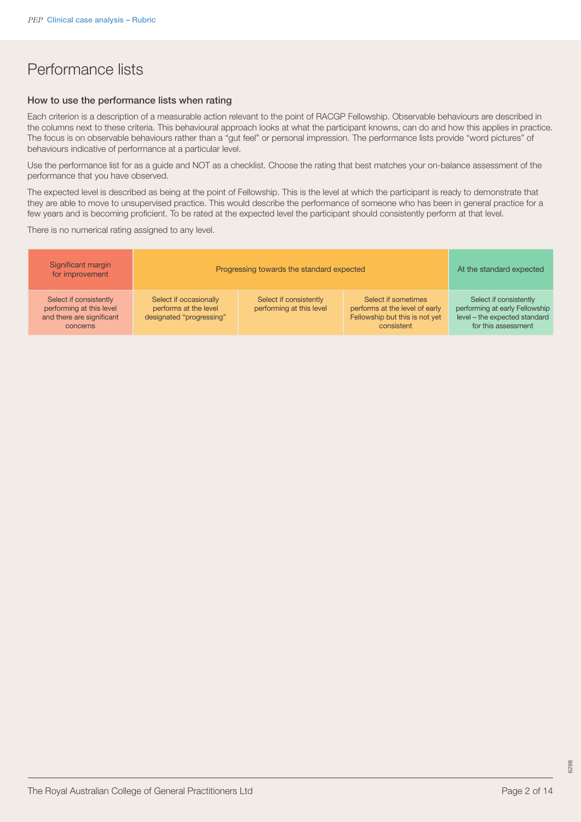# Performance lists

#### How to use the performance lists when rating

Each criterion is a description of a measurable action relevant to the point of RACGP Fellowship. Observable behaviours are described in the columns next to these criteria. This behavioural approach looks at what the participant knowns, can do and how this applies in practice. The focus is on observable behaviours rather than a "gut feel" or personal impression. The performance lists provide "word pictures" of behaviours indicative of performance at a particular level.

Use the performance list for as a guide and NOT as a checklist. Choose the rating that best matches your on-balance assessment of the performance that you have observed.

The expected level is described as being at the point of Fellowship. This is the level at which the participant is ready to demonstrate that they are able to move to unsupervised practice. This would describe the performance of someone who has been in general practice for a few years and is becoming proficient. To be rated at the expected level the participant should consistently perform at that level.

There is no numerical rating assigned to any level.

| Significant margin<br>for improvement                                                       | Progressing towards the standard expected                                   |                                                    |                                                                                                       | At the standard expected                                                                                         |
|---------------------------------------------------------------------------------------------|-----------------------------------------------------------------------------|----------------------------------------------------|-------------------------------------------------------------------------------------------------------|------------------------------------------------------------------------------------------------------------------|
| Select if consistently<br>performing at this level<br>and there are significant<br>concerns | Select if occasionally<br>performs at the level<br>designated "progressing" | Select if consistently<br>performing at this level | Select if sometimes<br>performs at the level of early<br>Fellowship but this is not yet<br>consistent | Select if consistently<br>performing at early Fellowship<br>level - the expected standard<br>for this assessment |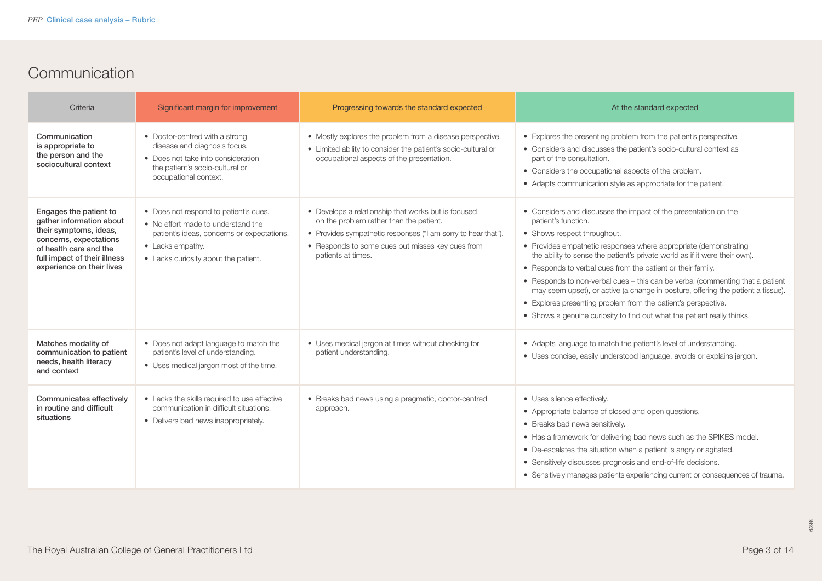### **Communication**

| Criteria                                                                                                                                                                                      | Significant margin for improvement                                                                                                                                                    | Progressing towards the standard expected                                                                                                                                                                                                 | At the standard expected                                                                                                                                                                                                                                                                                                                                                                                                                                                                                                                                                                                                                                |
|-----------------------------------------------------------------------------------------------------------------------------------------------------------------------------------------------|---------------------------------------------------------------------------------------------------------------------------------------------------------------------------------------|-------------------------------------------------------------------------------------------------------------------------------------------------------------------------------------------------------------------------------------------|---------------------------------------------------------------------------------------------------------------------------------------------------------------------------------------------------------------------------------------------------------------------------------------------------------------------------------------------------------------------------------------------------------------------------------------------------------------------------------------------------------------------------------------------------------------------------------------------------------------------------------------------------------|
| Communication<br>is appropriate to<br>the person and the<br>sociocultural context                                                                                                             | • Doctor-centred with a strong<br>disease and diagnosis focus.<br>• Does not take into consideration<br>the patient's socio-cultural or<br>occupational context.                      | • Mostly explores the problem from a disease perspective.<br>• Limited ability to consider the patient's socio-cultural or<br>occupational aspects of the presentation.                                                                   | • Explores the presenting problem from the patient's perspective.<br>• Considers and discusses the patient's socio-cultural context as<br>part of the consultation.<br>• Considers the occupational aspects of the problem.<br>• Adapts communication style as appropriate for the patient.                                                                                                                                                                                                                                                                                                                                                             |
| Engages the patient to<br>gather information about<br>their symptoms, ideas,<br>concerns, expectations<br>of health care and the<br>full impact of their illness<br>experience on their lives | • Does not respond to patient's cues.<br>• No effort made to understand the<br>patient's ideas, concerns or expectations.<br>• Lacks empathy.<br>• Lacks curiosity about the patient. | • Develops a relationship that works but is focused<br>on the problem rather than the patient.<br>• Provides sympathetic responses ("I am sorry to hear that").<br>• Responds to some cues but misses key cues from<br>patients at times. | • Considers and discusses the impact of the presentation on the<br>patient's function.<br>• Shows respect throughout.<br>• Provides empathetic responses where appropriate (demonstrating<br>the ability to sense the patient's private world as if it were their own).<br>• Responds to verbal cues from the patient or their family.<br>• Responds to non-verbal cues – this can be verbal (commenting that a patient<br>may seem upset), or active (a change in posture, offering the patient a tissue).<br>• Explores presenting problem from the patient's perspective.<br>• Shows a genuine curiosity to find out what the patient really thinks. |
| Matches modality of<br>communication to patient<br>needs, health literacy<br>and context                                                                                                      | • Does not adapt language to match the<br>patient's level of understanding.<br>• Uses medical jargon most of the time.                                                                | • Uses medical jargon at times without checking for<br>patient understanding.                                                                                                                                                             | • Adapts language to match the patient's level of understanding.<br>• Uses concise, easily understood language, avoids or explains jargon.                                                                                                                                                                                                                                                                                                                                                                                                                                                                                                              |
| Communicates effectively<br>in routine and difficult<br>situations                                                                                                                            | • Lacks the skills required to use effective<br>communication in difficult situations.<br>• Delivers bad news inappropriately.                                                        | • Breaks bad news using a pragmatic, doctor-centred<br>approach.                                                                                                                                                                          | • Uses silence effectively.<br>• Appropriate balance of closed and open questions.<br>• Breaks bad news sensitively.<br>• Has a framework for delivering bad news such as the SPIKES model.<br>• De-escalates the situation when a patient is angry or agitated.<br>• Sensitively discusses prognosis and end-of-life decisions.<br>• Sensitively manages patients experiencing current or consequences of trauma.                                                                                                                                                                                                                                      |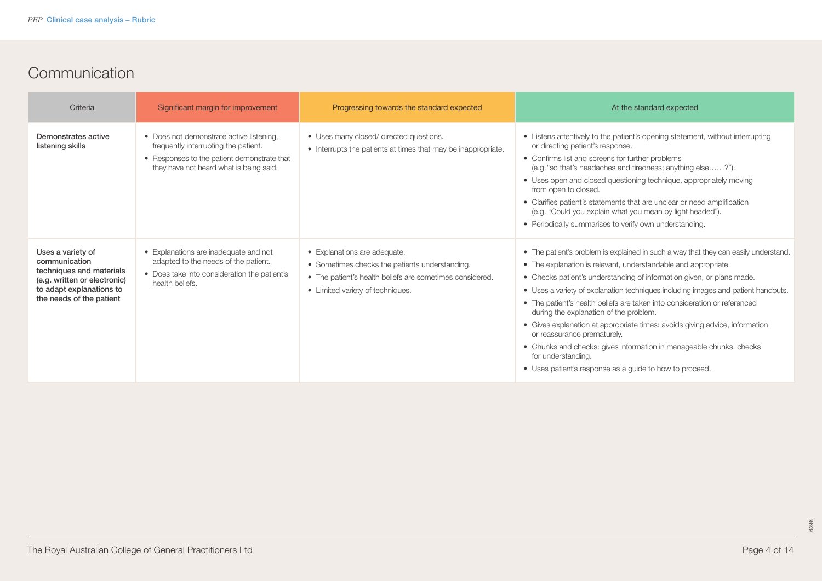### **Communication**

| Criteria                                                                                                                                               | Significant margin for improvement                                                                                                                                         | Progressing towards the standard expected                                                                                                                                      | At the standard expected                                                                                                                                                                                                                                                                                                                                                                                                                                                                                                                                                                                                                                                                                         |
|--------------------------------------------------------------------------------------------------------------------------------------------------------|----------------------------------------------------------------------------------------------------------------------------------------------------------------------------|--------------------------------------------------------------------------------------------------------------------------------------------------------------------------------|------------------------------------------------------------------------------------------------------------------------------------------------------------------------------------------------------------------------------------------------------------------------------------------------------------------------------------------------------------------------------------------------------------------------------------------------------------------------------------------------------------------------------------------------------------------------------------------------------------------------------------------------------------------------------------------------------------------|
| Demonstrates active<br>listening skills                                                                                                                | • Does not demonstrate active listening,<br>frequently interrupting the patient.<br>• Responses to the patient demonstrate that<br>they have not heard what is being said. | • Uses many closed/ directed questions.<br>• Interrupts the patients at times that may be inappropriate.                                                                       | • Listens attentively to the patient's opening statement, without interrupting<br>or directing patient's response.<br>• Confirms list and screens for further problems<br>(e.g. "so that's headaches and tiredness; anything else?").<br>• Uses open and closed questioning technique, appropriately moving<br>from open to closed.<br>• Clarifies patient's statements that are unclear or need amplification<br>(e.g. "Could you explain what you mean by light headed").<br>• Periodically summarises to verify own understanding.                                                                                                                                                                            |
| Uses a variety of<br>communication<br>techniques and materials<br>(e.g. written or electronic)<br>to adapt explanations to<br>the needs of the patient | • Explanations are inadequate and not<br>adapted to the needs of the patient.<br>• Does take into consideration the patient's<br>health beliefs.                           | • Explanations are adequate.<br>• Sometimes checks the patients understanding.<br>• The patient's health beliefs are sometimes considered.<br>• Limited variety of techniques. | • The patient's problem is explained in such a way that they can easily understand.<br>• The explanation is relevant, understandable and appropriate.<br>• Checks patient's understanding of information given, or plans made.<br>• Uses a variety of explanation techniques including images and patient handouts.<br>• The patient's health beliefs are taken into consideration or referenced<br>during the explanation of the problem.<br>• Gives explanation at appropriate times: avoids giving advice, information<br>or reassurance prematurely.<br>• Chunks and checks: gives information in manageable chunks, checks<br>for understanding.<br>• Uses patient's response as a guide to how to proceed. |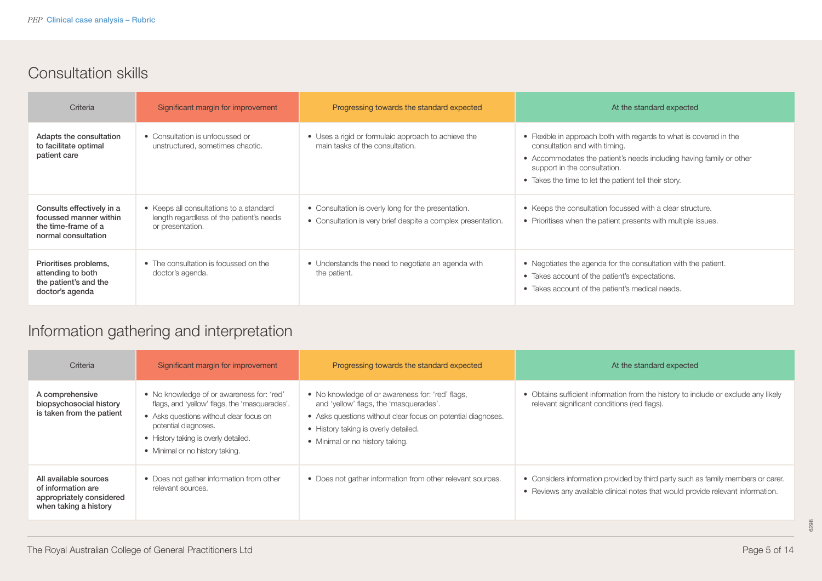### Consultation skills

| Criteria                                                                                          | Significant margin for improvement                                                                      | Progressing towards the standard expected                                                                           | At the standard expected                                                                                                                                                                                                                                            |
|---------------------------------------------------------------------------------------------------|---------------------------------------------------------------------------------------------------------|---------------------------------------------------------------------------------------------------------------------|---------------------------------------------------------------------------------------------------------------------------------------------------------------------------------------------------------------------------------------------------------------------|
| Adapts the consultation<br>to facilitate optimal<br>patient care                                  | • Consultation is unfocussed or<br>unstructured, sometimes chaotic.                                     | • Uses a rigid or formulaic approach to achieve the<br>main tasks of the consultation.                              | • Flexible in approach both with regards to what is covered in the<br>consultation and with timing.<br>• Accommodates the patient's needs including having family or other<br>support in the consultation.<br>• Takes the time to let the patient tell their story. |
| Consults effectively in a<br>focussed manner within<br>the time-frame of a<br>normal consultation | • Keeps all consultations to a standard<br>length regardless of the patient's needs<br>or presentation. | • Consultation is overly long for the presentation.<br>• Consultation is very brief despite a complex presentation. | • Keeps the consultation focussed with a clear structure.<br>• Prioritises when the patient presents with multiple issues.                                                                                                                                          |
| Prioritises problems,<br>attending to both<br>the patient's and the<br>doctor's agenda            | • The consultation is focussed on the<br>doctor's agenda.                                               | • Understands the need to negotiate an agenda with<br>the patient.                                                  | • Negotiates the agenda for the consultation with the patient.<br>• Takes account of the patient's expectations.<br>• Takes account of the patient's medical needs.                                                                                                 |

# Information gathering and interpretation

| Criteria                                                                                         | Significant margin for improvement                                                                                                                                                                                                       | Progressing towards the standard expected                                                                                                                                                                                             | At the standard expected                                                                                                                                            |
|--------------------------------------------------------------------------------------------------|------------------------------------------------------------------------------------------------------------------------------------------------------------------------------------------------------------------------------------------|---------------------------------------------------------------------------------------------------------------------------------------------------------------------------------------------------------------------------------------|---------------------------------------------------------------------------------------------------------------------------------------------------------------------|
| A comprehensive<br>biopsychosocial history<br>is taken from the patient                          | • No knowledge of or awareness for: 'red'<br>flags, and 'yellow' flags, the 'masquerades'.<br>• Asks questions without clear focus on<br>potential diagnoses.<br>• History taking is overly detailed.<br>• Minimal or no history taking. | • No knowledge of or awareness for: 'red' flags,<br>and 'yellow' flags, the 'masquerades'.<br>• Asks questions without clear focus on potential diagnoses.<br>• History taking is overly detailed.<br>• Minimal or no history taking. | • Obtains sufficient information from the history to include or exclude any likely<br>relevant significant conditions (red flags).                                  |
| All available sources<br>of information are<br>appropriately considered<br>when taking a history | • Does not gather information from other<br>relevant sources.                                                                                                                                                                            | • Does not gather information from other relevant sources.                                                                                                                                                                            | • Considers information provided by third party such as family members or carer.<br>• Reviews any available clinical notes that would provide relevant information. |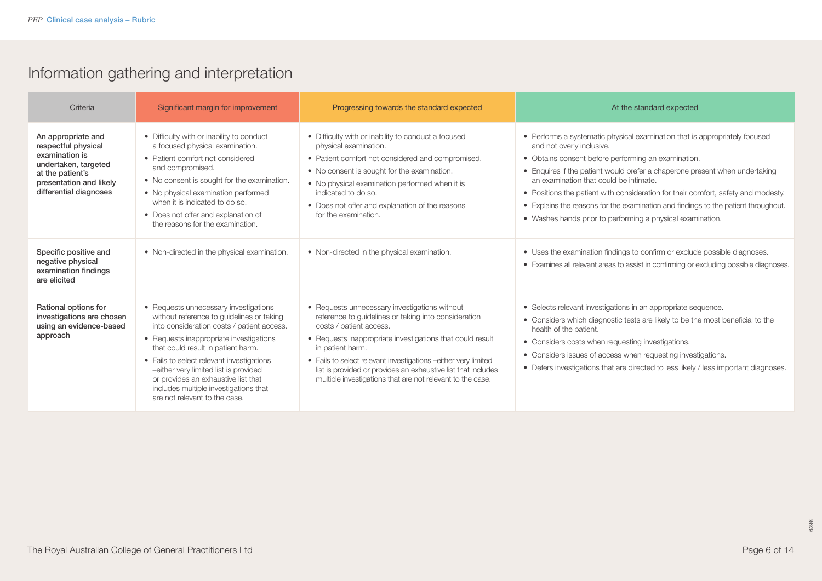# Information gathering and interpretation

| Criteria                                                                                                                                                     | Significant margin for improvement                                                                                                                                                                                                                                                                                                                                                                                       | Progressing towards the standard expected                                                                                                                                                                                                                                                                                                                                                                           | At the standard expected                                                                                                                                                                                                                                                                                                                                                                                                                                                                                                         |
|--------------------------------------------------------------------------------------------------------------------------------------------------------------|--------------------------------------------------------------------------------------------------------------------------------------------------------------------------------------------------------------------------------------------------------------------------------------------------------------------------------------------------------------------------------------------------------------------------|---------------------------------------------------------------------------------------------------------------------------------------------------------------------------------------------------------------------------------------------------------------------------------------------------------------------------------------------------------------------------------------------------------------------|----------------------------------------------------------------------------------------------------------------------------------------------------------------------------------------------------------------------------------------------------------------------------------------------------------------------------------------------------------------------------------------------------------------------------------------------------------------------------------------------------------------------------------|
| An appropriate and<br>respectful physical<br>examination is<br>undertaken, targeted<br>at the patient's<br>presentation and likely<br>differential diagnoses | • Difficulty with or inability to conduct<br>a focused physical examination.<br>• Patient comfort not considered<br>and compromised.<br>• No consent is sought for the examination.<br>• No physical examination performed<br>when it is indicated to do so.<br>• Does not offer and explanation of<br>the reasons for the examination.                                                                                  | • Difficulty with or inability to conduct a focused<br>physical examination.<br>• Patient comfort not considered and compromised.<br>• No consent is sought for the examination.<br>• No physical examination performed when it is<br>indicated to do so.<br>• Does not offer and explanation of the reasons<br>for the examination.                                                                                | • Performs a systematic physical examination that is appropriately focused<br>and not overly inclusive.<br>• Obtains consent before performing an examination.<br>• Enquires if the patient would prefer a chaperone present when undertaking<br>an examination that could be intimate.<br>• Positions the patient with consideration for their comfort, safety and modesty.<br>• Explains the reasons for the examination and findings to the patient throughout.<br>• Washes hands prior to performing a physical examination. |
| Specific positive and<br>negative physical<br>examination findings<br>are elicited                                                                           | • Non-directed in the physical examination.                                                                                                                                                                                                                                                                                                                                                                              | • Non-directed in the physical examination.                                                                                                                                                                                                                                                                                                                                                                         | • Uses the examination findings to confirm or exclude possible diagnoses.<br>• Examines all relevant areas to assist in confirming or excluding possible diagnoses.                                                                                                                                                                                                                                                                                                                                                              |
| Rational options for<br>investigations are chosen<br>using an evidence-based<br>approach                                                                     | • Requests unnecessary investigations<br>without reference to quidelines or taking<br>into consideration costs / patient access.<br>• Requests inappropriate investigations<br>that could result in patient harm.<br>• Fails to select relevant investigations<br>-either very limited list is provided<br>or provides an exhaustive list that<br>includes multiple investigations that<br>are not relevant to the case. | • Requests unnecessary investigations without<br>reference to guidelines or taking into consideration<br>costs / patient access.<br>• Requests inappropriate investigations that could result<br>in patient harm.<br>• Fails to select relevant investigations - either very limited<br>list is provided or provides an exhaustive list that includes<br>multiple investigations that are not relevant to the case. | • Selects relevant investigations in an appropriate sequence.<br>• Considers which diagnostic tests are likely to be the most beneficial to the<br>health of the patient.<br>• Considers costs when requesting investigations.<br>• Considers issues of access when requesting investigations.<br>• Defers investigations that are directed to less likely / less important diagnoses.                                                                                                                                           |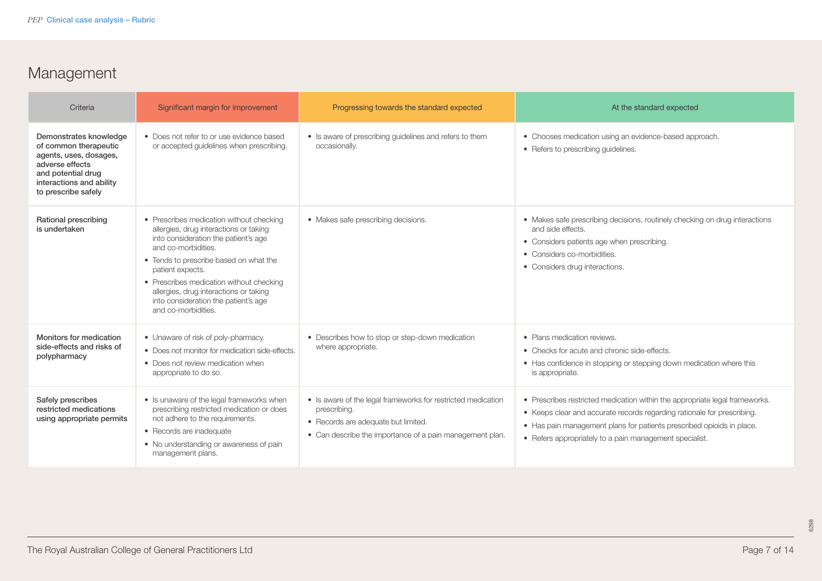# Management

| Criteria                                                                                                                                                              | Significant margin for improvement                                                                                                                                                                                                                                                                                                                                   | Progressing towards the standard expected                                                                                                                                       | At the standard expected                                                                                                                                                                                                                                                                   |
|-----------------------------------------------------------------------------------------------------------------------------------------------------------------------|----------------------------------------------------------------------------------------------------------------------------------------------------------------------------------------------------------------------------------------------------------------------------------------------------------------------------------------------------------------------|---------------------------------------------------------------------------------------------------------------------------------------------------------------------------------|--------------------------------------------------------------------------------------------------------------------------------------------------------------------------------------------------------------------------------------------------------------------------------------------|
| Demonstrates knowledge<br>of common therapeutic<br>agents, uses, dosages,<br>adverse effects<br>and potential drug<br>interactions and ability<br>to prescribe safely | • Does not refer to or use evidence based<br>or accepted guidelines when prescribing.                                                                                                                                                                                                                                                                                | • Is aware of prescribing guidelines and refers to them<br>occasionally.                                                                                                        | • Chooses medication using an evidence-based approach.<br>• Refers to prescribing guidelines.                                                                                                                                                                                              |
| Rational prescribing<br>is undertaken                                                                                                                                 | • Prescribes medication without checking<br>allergies, drug interactions or taking<br>into consideration the patient's age<br>and co-morbidities.<br>• Tends to prescribe based on what the<br>patient expects.<br>• Prescribes medication without checking<br>allergies, drug interactions or taking<br>into consideration the patient's age<br>and co-morbidities. | • Makes safe prescribing decisions.                                                                                                                                             | • Makes safe prescribing decisions, routinely checking on drug interactions<br>and side effects.<br>• Considers patients age when prescribing.<br>• Considers co-morbidities.<br>• Considers drug interactions.                                                                            |
| Monitors for medication<br>side-effects and risks of<br>polypharmacy                                                                                                  | • Unaware of risk of poly-pharmacy.<br>• Does not monitor for medication side-effects.<br>• Does not review medication when<br>appropriate to do so.                                                                                                                                                                                                                 | • Describes how to stop or step-down medication<br>where appropriate.                                                                                                           | • Plans medication reviews.<br>• Checks for acute and chronic side-effects.<br>• Has confidence in stopping or stepping down medication where this<br>is appropriate.                                                                                                                      |
| Safely prescribes<br>restricted medications<br>using appropriate permits                                                                                              | • Is unaware of the legal frameworks when<br>prescribing restricted medication or does<br>not adhere to the requirements.<br>• Records are inadequate<br>• No understanding or awareness of pain<br>management plans.                                                                                                                                                | • Is aware of the legal frameworks for restricted medication<br>prescribing.<br>• Records are adequate but limited.<br>• Can describe the importance of a pain management plan. | • Prescribes restricted medication within the appropriate legal frameworks.<br>• Keeps clear and accurate records regarding rationale for prescribing.<br>• Has pain management plans for patients prescribed opioids in place.<br>• Refers appropriately to a pain management specialist. |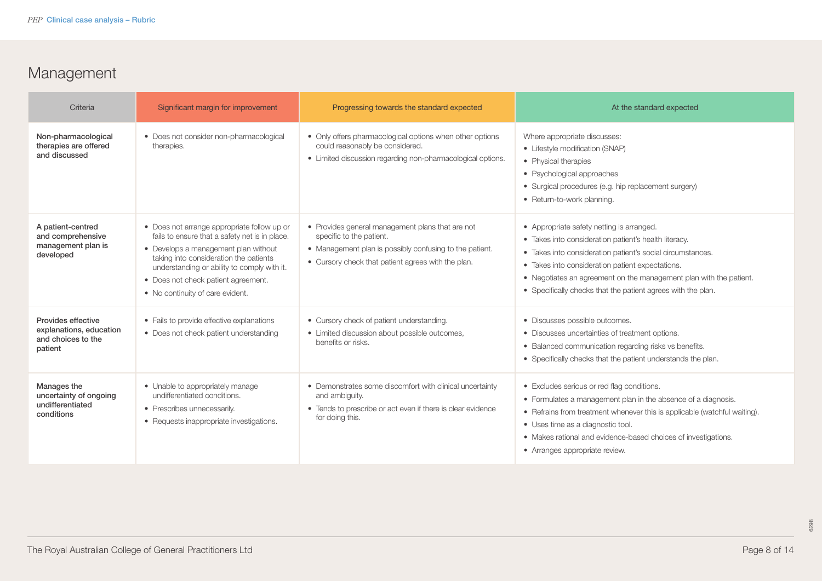# Management

| Criteria                                                                       | Significant margin for improvement                                                                                                                                                                                                                                                                        | Progressing towards the standard expected                                                                                                                                                     | At the standard expected                                                                                                                                                                                                                                                                                                                                   |
|--------------------------------------------------------------------------------|-----------------------------------------------------------------------------------------------------------------------------------------------------------------------------------------------------------------------------------------------------------------------------------------------------------|-----------------------------------------------------------------------------------------------------------------------------------------------------------------------------------------------|------------------------------------------------------------------------------------------------------------------------------------------------------------------------------------------------------------------------------------------------------------------------------------------------------------------------------------------------------------|
| Non-pharmacological<br>therapies are offered<br>and discussed                  | • Does not consider non-pharmacological<br>therapies.                                                                                                                                                                                                                                                     | • Only offers pharmacological options when other options<br>could reasonably be considered.<br>• Limited discussion regarding non-pharmacological options.                                    | Where appropriate discusses:<br>• Lifestyle modification (SNAP)<br>• Physical therapies<br>• Psychological approaches<br>• Surgical procedures (e.g. hip replacement surgery)<br>• Return-to-work planning.                                                                                                                                                |
| A patient-centred<br>and comprehensive<br>management plan is<br>developed      | • Does not arrange appropriate follow up or<br>fails to ensure that a safety net is in place.<br>• Develops a management plan without<br>taking into consideration the patients<br>understanding or ability to comply with it.<br>• Does not check patient agreement.<br>• No continuity of care evident. | • Provides general management plans that are not<br>specific to the patient.<br>• Management plan is possibly confusing to the patient.<br>• Cursory check that patient agrees with the plan. | • Appropriate safety netting is arranged.<br>• Takes into consideration patient's health literacy.<br>• Takes into consideration patient's social circumstances.<br>• Takes into consideration patient expectations.<br>• Negotiates an agreement on the management plan with the patient.<br>• Specifically checks that the patient agrees with the plan. |
| Provides effective<br>explanations, education<br>and choices to the<br>patient | • Fails to provide effective explanations<br>• Does not check patient understanding                                                                                                                                                                                                                       | • Cursory check of patient understanding.<br>• Limited discussion about possible outcomes,<br>benefits or risks.                                                                              | • Discusses possible outcomes.<br>• Discusses uncertainties of treatment options.<br>• Balanced communication regarding risks vs benefits.<br>• Specifically checks that the patient understands the plan.                                                                                                                                                 |
| Manages the<br>uncertainty of ongoing<br>undifferentiated<br>conditions        | • Unable to appropriately manage<br>undifferentiated conditions.<br>• Prescribes unnecessarily.<br>• Requests inappropriate investigations.                                                                                                                                                               | • Demonstrates some discomfort with clinical uncertainty<br>and ambiguity.<br>• Tends to prescribe or act even if there is clear evidence<br>for doing this.                                  | • Excludes serious or red flag conditions.<br>• Formulates a management plan in the absence of a diagnosis.<br>• Refrains from treatment whenever this is applicable (watchful waiting).<br>• Uses time as a diagnostic tool.<br>• Makes rational and evidence-based choices of investigations.<br>• Arranges appropriate review.                          |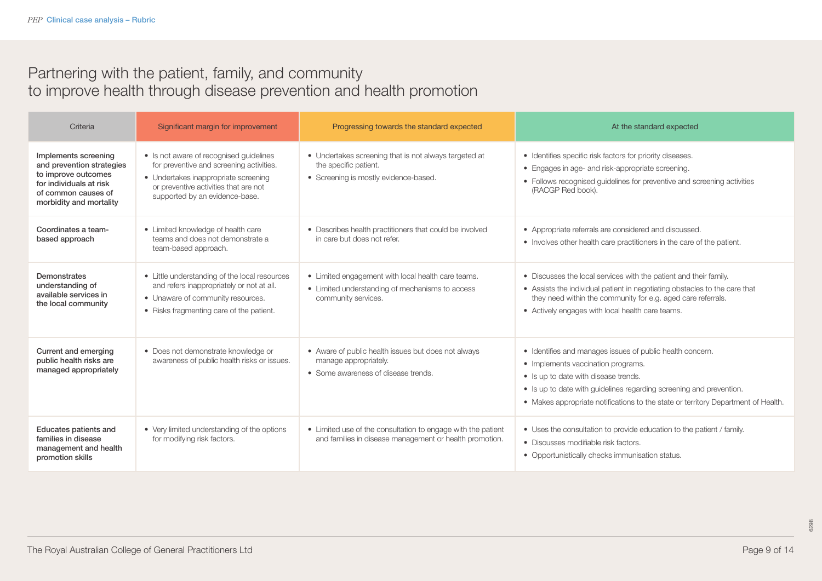### Partnering with the patient, family, and community to improve health through disease prevention and health promotion

| Criteria                                                                                                                                              | Significant margin for improvement                                                                                                                                                                     | Progressing towards the standard expected                                                                                    | At the standard expected                                                                                                                                                                                                                                                                            |
|-------------------------------------------------------------------------------------------------------------------------------------------------------|--------------------------------------------------------------------------------------------------------------------------------------------------------------------------------------------------------|------------------------------------------------------------------------------------------------------------------------------|-----------------------------------------------------------------------------------------------------------------------------------------------------------------------------------------------------------------------------------------------------------------------------------------------------|
| Implements screening<br>and prevention strategies<br>to improve outcomes<br>for individuals at risk<br>of common causes of<br>morbidity and mortality | • Is not aware of recognised guidelines<br>for preventive and screening activities.<br>• Undertakes inappropriate screening<br>or preventive activities that are not<br>supported by an evidence-base. | • Undertakes screening that is not always targeted at<br>the specific patient.<br>• Screening is mostly evidence-based.      | • Identifies specific risk factors for priority diseases.<br>• Engages in age- and risk-appropriate screening.<br>• Follows recognised guidelines for preventive and screening activities<br>(RACGP Red book).                                                                                      |
| Coordinates a team-<br>based approach                                                                                                                 | • Limited knowledge of health care<br>teams and does not demonstrate a<br>team-based approach.                                                                                                         | • Describes health practitioners that could be involved<br>in care but does not refer.                                       | • Appropriate referrals are considered and discussed.<br>• Involves other health care practitioners in the care of the patient.                                                                                                                                                                     |
| Demonstrates<br>understanding of<br>available services in<br>the local community                                                                      | • Little understanding of the local resources<br>and refers inappropriately or not at all.<br>• Unaware of community resources.<br>• Risks fragmenting care of the patient.                            | • Limited engagement with local health care teams.<br>• Limited understanding of mechanisms to access<br>community services. | • Discusses the local services with the patient and their family.<br>• Assists the individual patient in negotiating obstacles to the care that<br>they need within the community for e.g. aged care referrals.<br>• Actively engages with local health care teams.                                 |
| <b>Current and emerging</b><br>public health risks are<br>managed appropriately                                                                       | • Does not demonstrate knowledge or<br>awareness of public health risks or issues.                                                                                                                     | • Aware of public health issues but does not always<br>manage appropriately.<br>• Some awareness of disease trends.          | • Identifies and manages issues of public health concern.<br>• Implements vaccination programs.<br>• Is up to date with disease trends.<br>• Is up to date with guidelines regarding screening and prevention.<br>• Makes appropriate notifications to the state or territory Department of Health. |
| Educates patients and<br>families in disease<br>management and health<br>promotion skills                                                             | • Very limited understanding of the options<br>for modifying risk factors.                                                                                                                             | • Limited use of the consultation to engage with the patient<br>and families in disease management or health promotion.      | • Uses the consultation to provide education to the patient / family.<br>• Discusses modifiable risk factors.<br>• Opportunistically checks immunisation status.                                                                                                                                    |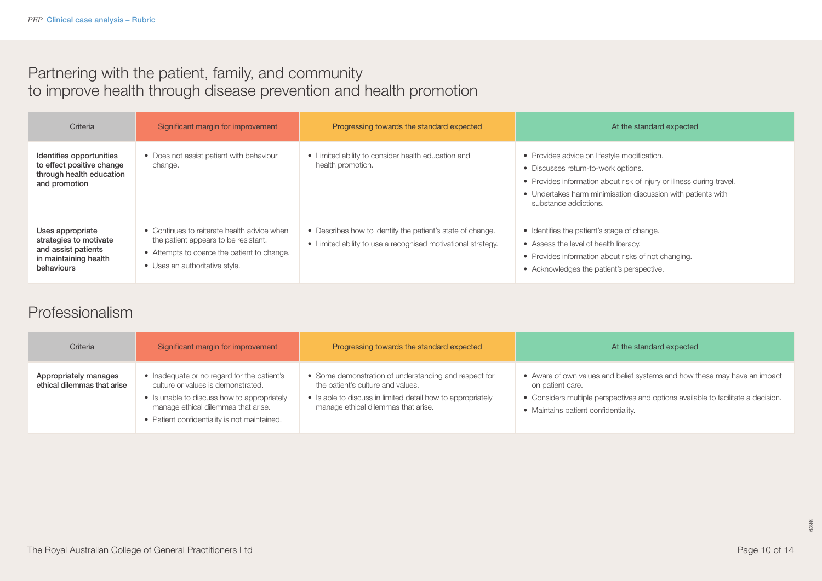### Partnering with the patient, family, and community to improve health through disease prevention and health promotion

| Criteria                                                                                                 | Significant margin for improvement                                                                                                                                   | Progressing towards the standard expected                                                                                  | At the standard expected                                                                                                                                                                                                                              |
|----------------------------------------------------------------------------------------------------------|----------------------------------------------------------------------------------------------------------------------------------------------------------------------|----------------------------------------------------------------------------------------------------------------------------|-------------------------------------------------------------------------------------------------------------------------------------------------------------------------------------------------------------------------------------------------------|
| Identifies opportunities<br>to effect positive change<br>through health education<br>and promotion       | • Does not assist patient with behaviour<br>change.                                                                                                                  | • Limited ability to consider health education and<br>health promotion.                                                    | • Provides advice on lifestyle modification.<br>• Discusses return-to-work options.<br>• Provides information about risk of injury or illness during travel.<br>• Undertakes harm minimisation discussion with patients with<br>substance addictions. |
| Uses appropriate<br>strategies to motivate<br>and assist patients<br>in maintaining health<br>behaviours | • Continues to reiterate health advice when<br>the patient appears to be resistant.<br>• Attempts to coerce the patient to change.<br>• Uses an authoritative style. | • Describes how to identify the patient's state of change.<br>• Limited ability to use a recognised motivational strategy. | • Identifies the patient's stage of change.<br>• Assess the level of health literacy.<br>• Provides information about risks of not changing.<br>• Acknowledges the patient's perspective.                                                             |

### Professionalism

| Criteria                                             | Significant margin for improvement                                                                                                                                                                                      | Progressing towards the standard expected                                                                                                                                                        | At the standard expected                                                                                                                                                                                                   |
|------------------------------------------------------|-------------------------------------------------------------------------------------------------------------------------------------------------------------------------------------------------------------------------|--------------------------------------------------------------------------------------------------------------------------------------------------------------------------------------------------|----------------------------------------------------------------------------------------------------------------------------------------------------------------------------------------------------------------------------|
| Appropriately manages<br>ethical dilemmas that arise | • Inadequate or no regard for the patient's<br>culture or values is demonstrated.<br>• Is unable to discuss how to appropriately<br>manage ethical dilemmas that arise.<br>• Patient confidentiality is not maintained. | • Some demonstration of understanding and respect for<br>the patient's culture and values.<br>• Is able to discuss in limited detail how to appropriately<br>manage ethical dilemmas that arise. | • Aware of own values and belief systems and how these may have an impact<br>on patient care.<br>• Considers multiple perspectives and options available to facilitate a decision.<br>• Maintains patient confidentiality. |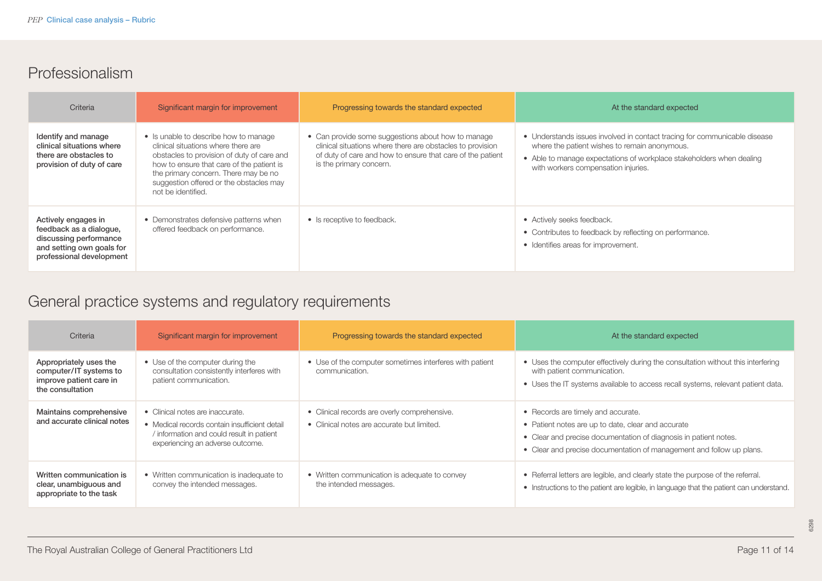### Professionalism

| Criteria                                                                                                                          | Significant margin for improvement                                                                                                                                                                                                                                               | Progressing towards the standard expected                                                                                                                                                                 | At the standard expected                                                                                                                                                                                                                  |
|-----------------------------------------------------------------------------------------------------------------------------------|----------------------------------------------------------------------------------------------------------------------------------------------------------------------------------------------------------------------------------------------------------------------------------|-----------------------------------------------------------------------------------------------------------------------------------------------------------------------------------------------------------|-------------------------------------------------------------------------------------------------------------------------------------------------------------------------------------------------------------------------------------------|
| Identify and manage<br>clinical situations where<br>there are obstacles to<br>provision of duty of care                           | • Is unable to describe how to manage<br>clinical situations where there are<br>obstacles to provision of duty of care and<br>how to ensure that care of the patient is<br>the primary concern. There may be no<br>suggestion offered or the obstacles may<br>not be identified. | • Can provide some suggestions about how to manage<br>clinical situations where there are obstacles to provision<br>of duty of care and how to ensure that care of the patient<br>is the primary concern. | • Understands issues involved in contact tracing for communicable disease<br>where the patient wishes to remain anonymous.<br>• Able to manage expectations of workplace stakeholders when dealing<br>with workers compensation injuries. |
| Actively engages in<br>feedback as a dialogue,<br>discussing performance<br>and setting own goals for<br>professional development | • Demonstrates defensive patterns when<br>offered feedback on performance.                                                                                                                                                                                                       | • Is receptive to feedback.                                                                                                                                                                               | • Actively seeks feedback.<br>• Contributes to feedback by reflecting on performance.<br>• Identifies areas for improvement.                                                                                                              |

# General practice systems and regulatory requirements

| Criteria                                                                                        | Significant margin for improvement                                                                                                                                 | Progressing towards the standard expected                                                  | At the standard expected                                                                                                                                                                                                             |
|-------------------------------------------------------------------------------------------------|--------------------------------------------------------------------------------------------------------------------------------------------------------------------|--------------------------------------------------------------------------------------------|--------------------------------------------------------------------------------------------------------------------------------------------------------------------------------------------------------------------------------------|
| Appropriately uses the<br>computer/IT systems to<br>improve patient care in<br>the consultation | • Use of the computer during the<br>consultation consistently interferes with<br>patient communication.                                                            | • Use of the computer sometimes interferes with patient<br>communication.                  | • Uses the computer effectively during the consultation without this interfering<br>with patient communication.<br>• Uses the IT systems available to access recall systems, relevant patient data.                                  |
| Maintains comprehensive<br>and accurate clinical notes                                          | • Clinical notes are inaccurate.<br>• Medical records contain insufficient detail<br>/ information and could result in patient<br>experiencing an adverse outcome. | • Clinical records are overly comprehensive.<br>• Clinical notes are accurate but limited. | • Records are timely and accurate.<br>• Patient notes are up to date, clear and accurate<br>• Clear and precise documentation of diagnosis in patient notes.<br>• Clear and precise documentation of management and follow up plans. |
| Written communication is<br>clear, unambiguous and<br>appropriate to the task                   | • Written communication is inadequate to<br>convey the intended messages.                                                                                          | • Written communication is adequate to convey<br>the intended messages.                    | • Referral letters are legible, and clearly state the purpose of the referral.<br>• Instructions to the patient are legible, in language that the patient can understand.                                                            |